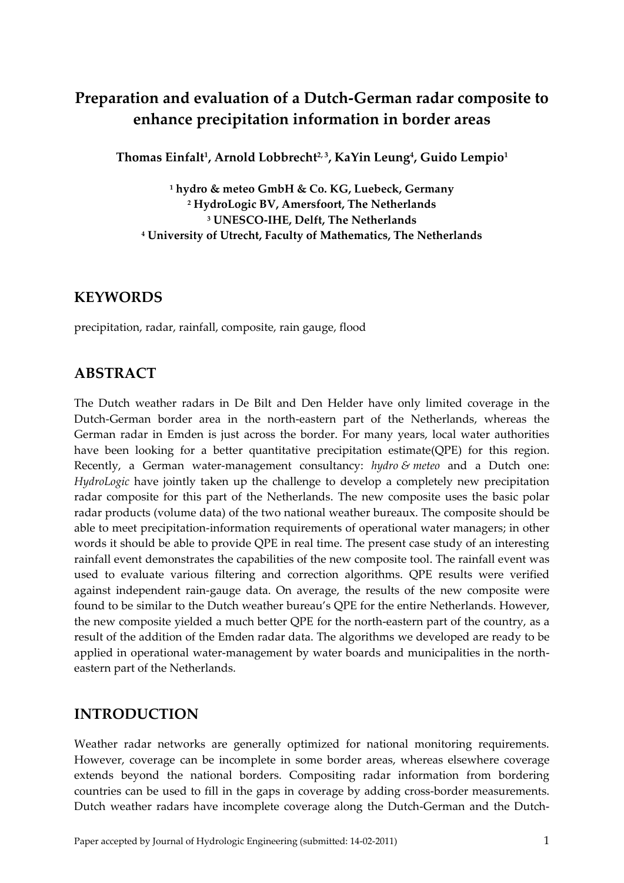# **Preparation and evaluation of a Dutch-German radar composite to enhance precipitation information in border areas**

**Thomas Einfalt<sup>1</sup> , Arnold Lobbrecht2, 3, KaYin Leung<sup>4</sup> , Guido Lempio<sup>1</sup>**

 **hydro & meteo GmbH & Co. KG, Luebeck, Germany HydroLogic BV, Amersfoort, The Netherlands UNESCO-IHE, Delft, The Netherlands University of Utrecht, Faculty of Mathematics, The Netherlands**

## **KEYWORDS**

precipitation, radar, rainfall, composite, rain gauge, flood

# **ABSTRACT**

The Dutch weather radars in De Bilt and Den Helder have only limited coverage in the Dutch-German border area in the north-eastern part of the Netherlands, whereas the German radar in Emden is just across the border. For many years, local water authorities have been looking for a better quantitative precipitation estimate(QPE) for this region. Recently, a German water-management consultancy: *hydro & meteo* and a Dutch one: *HydroLogic* have jointly taken up the challenge to develop a completely new precipitation radar composite for this part of the Netherlands. The new composite uses the basic polar radar products (volume data) of the two national weather bureaux. The composite should be able to meet precipitation-information requirements of operational water managers; in other words it should be able to provide QPE in real time. The present case study of an interesting rainfall event demonstrates the capabilities of the new composite tool. The rainfall event was used to evaluate various filtering and correction algorithms. QPE results were verified against independent rain-gauge data. On average, the results of the new composite were found to be similar to the Dutch weather bureau's QPE for the entire Netherlands. However, the new composite yielded a much better QPE for the north-eastern part of the country, as a result of the addition of the Emden radar data. The algorithms we developed are ready to be applied in operational water-management by water boards and municipalities in the northeastern part of the Netherlands.

# **INTRODUCTION**

Weather radar networks are generally optimized for national monitoring requirements. However, coverage can be incomplete in some border areas, whereas elsewhere coverage extends beyond the national borders. Compositing radar information from bordering countries can be used to fill in the gaps in coverage by adding cross-border measurements. Dutch weather radars have incomplete coverage along the Dutch-German and the Dutch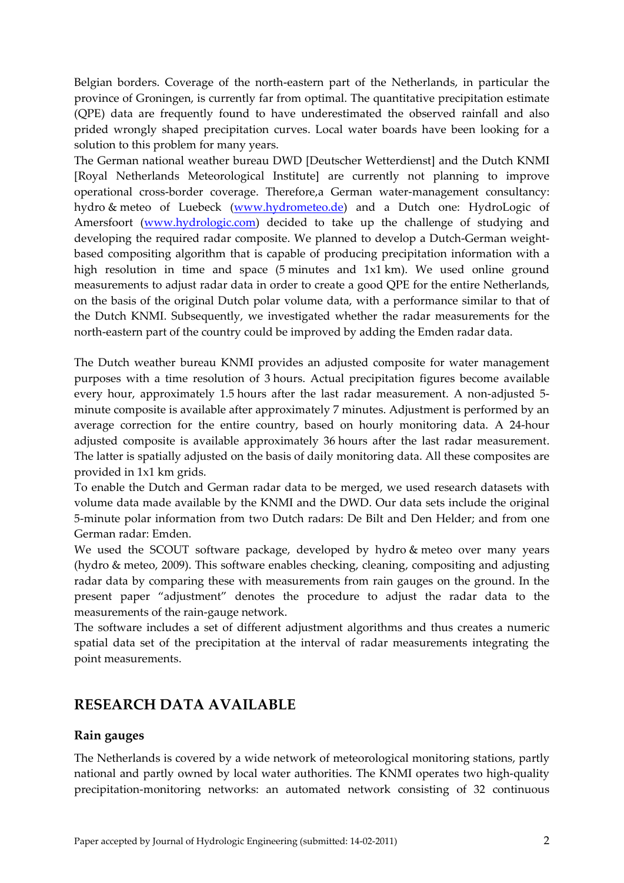Belgian borders. Coverage of the north-eastern part of the Netherlands, in particular the province of Groningen, is currently far from optimal. The quantitative precipitation estimate (QPE) data are frequently found to have underestimated the observed rainfall and also prided wrongly shaped precipitation curves. Local water boards have been looking for a solution to this problem for many years.

The German national weather bureau DWD [Deutscher Wetterdienst] and the Dutch KNMI [Royal Netherlands Meteorological Institute] are currently not planning to improve operational cross-border coverage. Therefore,a German water-management consultancy: hydro & meteo of Luebeck [\(www.hydrometeo.de\)](http://www.hydrometeo.de/) and a Dutch one: HydroLogic of Amersfoort [\(www.hydrologic.com\)](http://www.hydrologic.com/) decided to take up the challenge of studying and developing the required radar composite. We planned to develop a Dutch-German weightbased compositing algorithm that is capable of producing precipitation information with a high resolution in time and space (5 minutes and 1x1 km). We used online ground measurements to adjust radar data in order to create a good QPE for the entire Netherlands, on the basis of the original Dutch polar volume data, with a performance similar to that of the Dutch KNMI. Subsequently, we investigated whether the radar measurements for the north-eastern part of the country could be improved by adding the Emden radar data.

The Dutch weather bureau KNMI provides an adjusted composite for water management purposes with a time resolution of 3 hours. Actual precipitation figures become available every hour, approximately 1.5 hours after the last radar measurement. A non-adjusted 5 minute composite is available after approximately 7 minutes. Adjustment is performed by an average correction for the entire country, based on hourly monitoring data. A 24-hour adjusted composite is available approximately 36 hours after the last radar measurement. The latter is spatially adjusted on the basis of daily monitoring data. All these composites are provided in 1x1 km grids.

To enable the Dutch and German radar data to be merged, we used research datasets with volume data made available by the KNMI and the DWD. Our data sets include the original 5-minute polar information from two Dutch radars: De Bilt and Den Helder; and from one German radar: Emden.

We used the SCOUT software package, developed by hydro & meteo over many years (hydro & meteo, 2009). This software enables checking, cleaning, compositing and adjusting radar data by comparing these with measurements from rain gauges on the ground. In the present paper "adjustment" denotes the procedure to adjust the radar data to the measurements of the rain-gauge network.

The software includes a set of different adjustment algorithms and thus creates a numeric spatial data set of the precipitation at the interval of radar measurements integrating the point measurements.

# **RESEARCH DATA AVAILABLE**

#### **Rain gauges**

The Netherlands is covered by a wide network of meteorological monitoring stations, partly national and partly owned by local water authorities. The KNMI operates two high-quality precipitation-monitoring networks: an automated network consisting of 32 continuous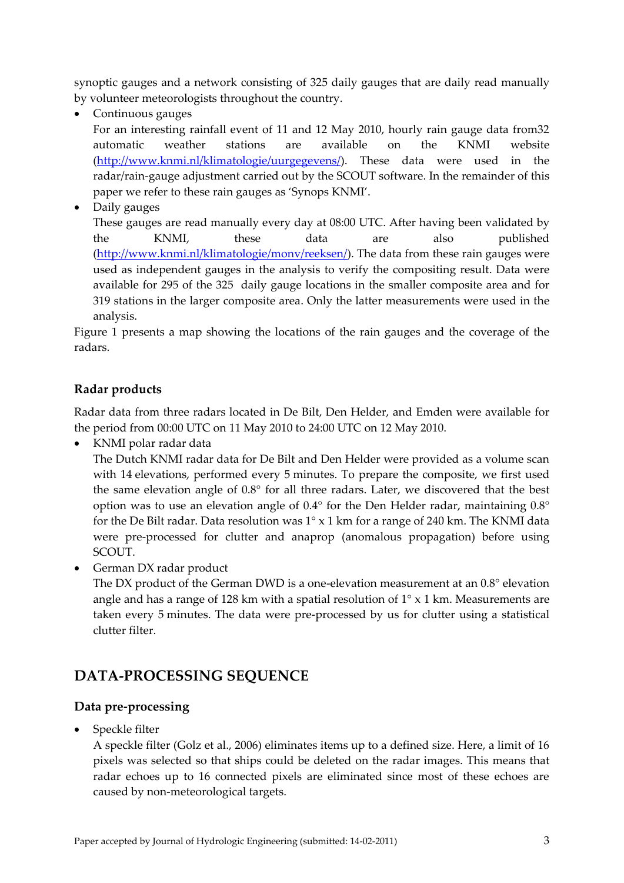synoptic gauges and a network consisting of 325 daily gauges that are daily read manually by volunteer meteorologists throughout the country.

Continuous gauges

For an interesting rainfall event of 11 and 12 May 2010, hourly rain gauge data from32 automatic weather stations are available on the KNMI website [\(http://www.knmi.nl/klimatologie/uurgegevens/\)](http://www.knmi.nl/klimatologie/uurgegevens/). These data were used in the radar/rain-gauge adjustment carried out by the SCOUT software. In the remainder of this paper we refer to these rain gauges as 'Synops KNMI'.

• Daily gauges

These gauges are read manually every day at 08:00 UTC. After having been validated by the KNMI, these data are also published [\(http://www.knmi.nl/klimatologie/monv/reeksen/\)](http://www.knmi.nl/klimatologie/monv/reeksen/). The data from these rain gauges were used as independent gauges in the analysis to verify the compositing result. Data were available for 295 of the 325 daily gauge locations in the smaller composite area and for 319 stations in the larger composite area. Only the latter measurements were used in the analysis.

Figure 1 presents a map showing the locations of the rain gauges and the coverage of the radars.

### **Radar products**

Radar data from three radars located in De Bilt, Den Helder, and Emden were available for the period from 00:00 UTC on 11 May 2010 to 24:00 UTC on 12 May 2010.

• KNMI polar radar data

The Dutch KNMI radar data for De Bilt and Den Helder were provided as a volume scan with 14 elevations, performed every 5 minutes. To prepare the composite, we first used the same elevation angle of 0.8° for all three radars. Later, we discovered that the best option was to use an elevation angle of 0.4° for the Den Helder radar, maintaining 0.8° for the De Bilt radar. Data resolution was  $1^\circ$  x 1 km for a range of 240 km. The KNMI data were pre-processed for clutter and anaprop (anomalous propagation) before using SCOUT.

• German DX radar product

The DX product of the German DWD is a one-elevation measurement at an 0.8° elevation angle and has a range of 128 km with a spatial resolution of  $1^{\circ} \times 1$  km. Measurements are taken every 5 minutes. The data were pre-processed by us for clutter using a statistical clutter filter.

# **DATA-PROCESSING SEQUENCE**

### **Data pre-processing**

Speckle filter

A speckle filter (Golz et al., 2006) eliminates items up to a defined size. Here, a limit of 16 pixels was selected so that ships could be deleted on the radar images. This means that radar echoes up to 16 connected pixels are eliminated since most of these echoes are caused by non-meteorological targets.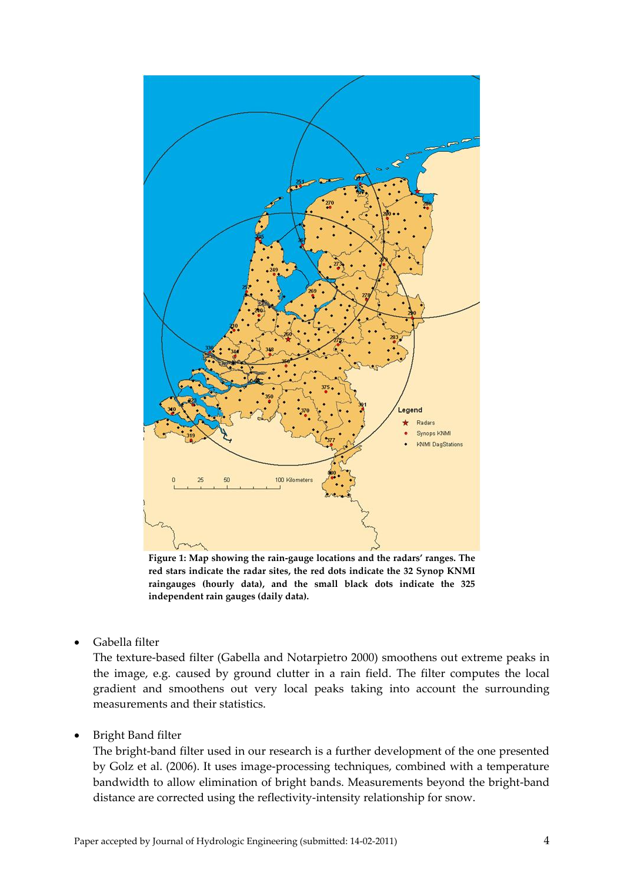

<span id="page-3-0"></span>**Figure 1: Map showing the rain-gauge locations and the radars' ranges. The red stars indicate the radar sites, the red dots indicate the 32 Synop KNMI raingauges (hourly data), and the small black dots indicate the 325 independent rain gauges (daily data).**

Gabella filter

The texture-based filter (Gabella and Notarpietro 2000) smoothens out extreme peaks in the image, e.g. caused by ground clutter in a rain field. The filter computes the local gradient and smoothens out very local peaks taking into account the surrounding measurements and their statistics.

Bright Band filter

The bright-band filter used in our research is a further development of the one presented by Golz et al. (2006). It uses image-processing techniques, combined with a temperature bandwidth to allow elimination of bright bands. Measurements beyond the bright-band distance are corrected using the reflectivity-intensity relationship for snow.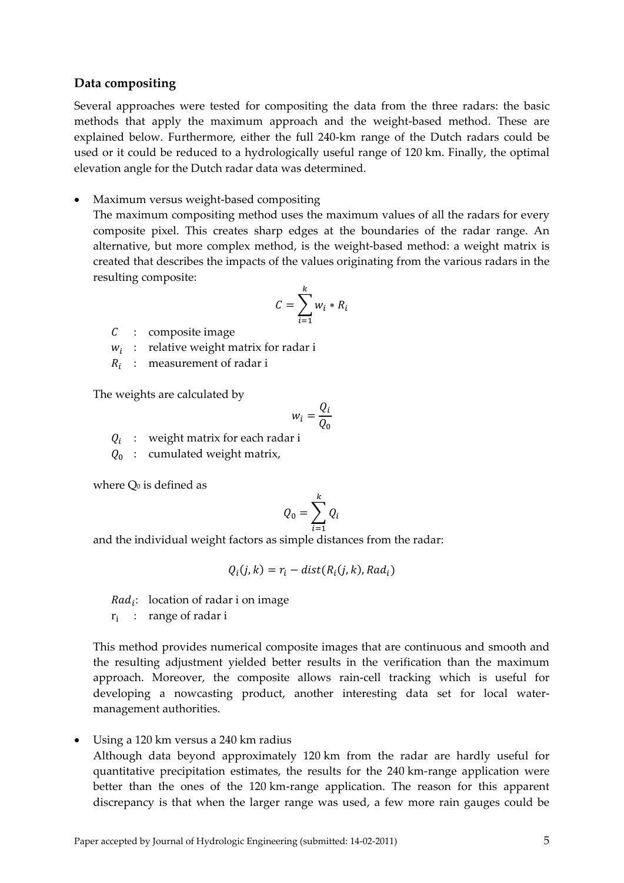#### **Data compositing**

Several approaches were tested for compositing the data from the three radars: the basic methods that apply the maximum approach and the weight-based method. These are explained below. Furthermore, either the full 240-km range of the Dutch radars could be used or it could be reduced to a hydrologically useful range of 120 km. Finally, the optimal elevation angle for the Dutch radar data was determined.

Maximum versus weight-based compositing

The maximum compositing method uses the maximum values of all the radars for every composite pixel. This creates sharp edges at the boundaries of the radar range. An alternative, but more complex method, is the weight-based method: a weight matrix is created that describes the impacts of the values originating from the various radars in the resulting composite:

$$
C = \sum_{i=1}^{k} w_i * R_i
$$

- $C$  : composite image
- $w_i$  : relative weight matrix for radar i
- $R_i$  : measurement of radar i

The weights are calculated by

$$
w_i = \frac{Q_i}{Q_0}
$$

 $Q_i$  : weight matrix for each radar i

 $Q_0$  : cumulated weight matrix,

where  $Q_0$  is defined as

$$
Q_0 = \sum_{i=1}^k Q_i
$$

and the individual weight factors as simple distances from the radar:

$$
Q_i(j,k) = r_i - dist(R_i(j,k), Rad_i)
$$

 $Rad_i$ : location of radar i on image

 $r_i$  : range of radar i

This method provides numerical composite images that are continuous and smooth and the resulting adjustment yielded better results in the verification than the maximum approach. Moreover, the composite allows rain-cell tracking which is useful for developing a nowcasting product, another interesting data set for local watermanagement authorities.

Using a 120 km versus a 240 km radius

Although data beyond approximately 120 km from the radar are hardly useful for quantitative precipitation estimates, the results for the 240 km-range application were better than the ones of the 120 km-range application. The reason for this apparent discrepancy is that when the larger range was used, a few more rain gauges could be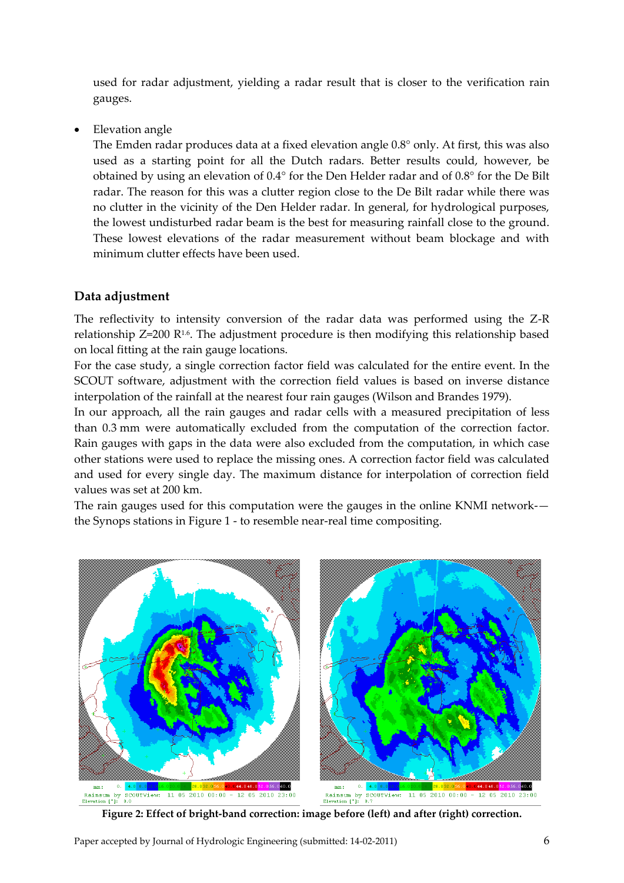used for radar adjustment, yielding a radar result that is closer to the verification rain gauges.

Elevation angle

The Emden radar produces data at a fixed elevation angle 0.8° only. At first, this was also used as a starting point for all the Dutch radars. Better results could, however, be obtained by using an elevation of 0.4° for the Den Helder radar and of 0.8° for the De Bilt radar. The reason for this was a clutter region close to the De Bilt radar while there was no clutter in the vicinity of the Den Helder radar. In general, for hydrological purposes, the lowest undisturbed radar beam is the best for measuring rainfall close to the ground. These lowest elevations of the radar measurement without beam blockage and with minimum clutter effects have been used.

#### **Data adjustment**

The reflectivity to intensity conversion of the radar data was performed using the Z-R relationship  $Z=200$  R<sup>1.6</sup>. The adjustment procedure is then modifying this relationship based on local fitting at the rain gauge locations.

For the case study, a single correction factor field was calculated for the entire event. In the SCOUT software, adjustment with the correction field values is based on inverse distance interpolation of the rainfall at the nearest four rain gauges (Wilson and Brandes 1979).

In our approach, all the rain gauges and radar cells with a measured precipitation of less than 0.3 mm were automatically excluded from the computation of the correction factor. Rain gauges with gaps in the data were also excluded from the computation, in which case other stations were used to replace the missing ones. A correction factor field was calculated and used for every single day. The maximum distance for interpolation of correction field values was set at 200 km.

The rain gauges used for this computation were the gauges in the online KNMI network- the Synops stations in Figure 1 - to resemble near-real time compositing.

<span id="page-5-0"></span>

**Figure 2: Effect of bright-band correction: image before (left) and after (right) correction.**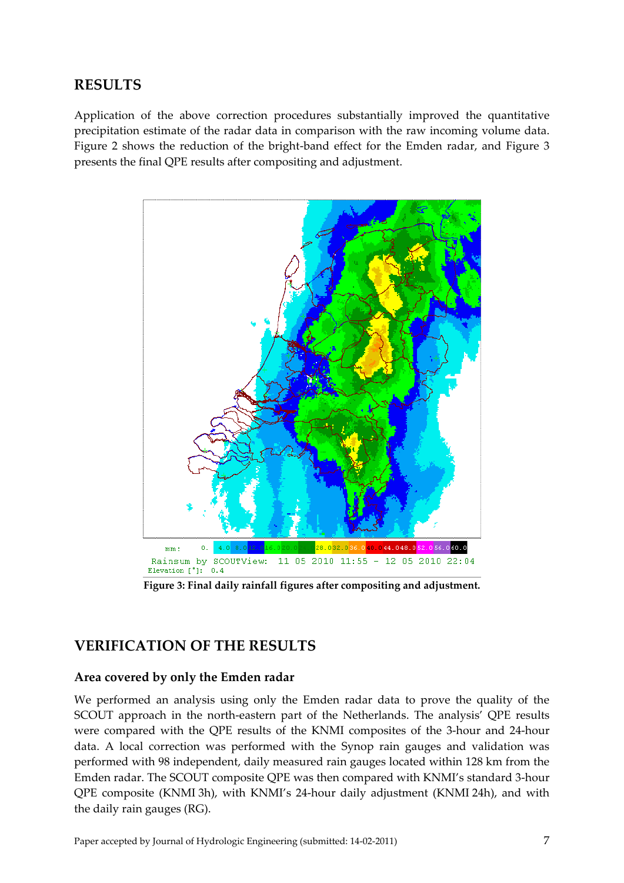# **RESULTS**

Application of the above correction procedures substantially improved the quantitative precipitation estimate of the radar data in comparison with the raw incoming volume data. [Figure 2](#page-5-0) shows the reduction of the bright-band effect for the Emden radar, and [Figure 3](#page-6-0) presents the final QPE results after compositing and adjustment.



**Figure 3: Final daily rainfall figures after compositing and adjustment.**

# <span id="page-6-0"></span>**VERIFICATION OF THE RESULTS**

#### **Area covered by only the Emden radar**

We performed an analysis using only the Emden radar data to prove the quality of the SCOUT approach in the north-eastern part of the Netherlands. The analysis' QPE results were compared with the QPE results of the KNMI composites of the 3-hour and 24-hour data. A local correction was performed with the Synop rain gauges and validation was performed with 98 independent, daily measured rain gauges located within 128 km from the Emden radar. The SCOUT composite QPE was then compared with KNMI's standard 3-hour QPE composite (KNMI 3h), with KNMI's 24-hour daily adjustment (KNMI 24h), and with the daily rain gauges (RG).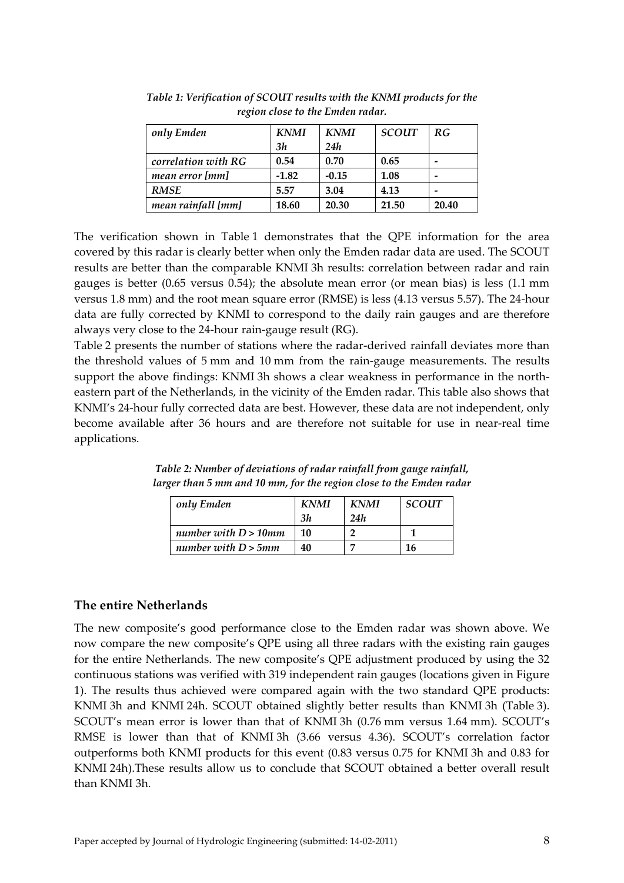| only Emden          | <b>KNMI</b> | <b>KNMI</b> | <b>SCOUT</b> | RG    |
|---------------------|-------------|-------------|--------------|-------|
|                     | 3h          | 24h         |              |       |
| correlation with RG | 0.54        | 0.70        | 0.65         | -     |
| mean error [mm]     | $-1.82$     | $-0.15$     | 1.08         | -     |
| <b>RMSE</b>         | 5.57        | 3.04        | 4.13         | -     |
| mean rainfall [mm]  | 18.60       | 20.30       | 21.50        | 20.40 |

<span id="page-7-0"></span>*Table 1: Verification of SCOUT results with the KNMI products for the region close to the Emden radar.*

The verification shown in [Table](#page-7-0) 1 demonstrates that the QPE information for the area covered by this radar is clearly better when only the Emden radar data are used. The SCOUT results are better than the comparable KNMI 3h results: correlation between radar and rain gauges is better (0.65 versus 0.54); the absolute mean error (or mean bias) is less (1.1 mm versus 1.8 mm) and the root mean square error (RMSE) is less (4.13 versus 5.57). The 24-hour data are fully corrected by KNMI to correspond to the daily rain gauges and are therefore always very close to the 24-hour rain-gauge result (RG).

[Table](#page-7-1) 2 presents the number of stations where the radar-derived rainfall deviates more than the threshold values of 5 mm and 10 mm from the rain-gauge measurements. The results support the above findings: KNMI 3h shows a clear weakness in performance in the northeastern part of the Netherlands, in the vicinity of the Emden radar. This table also shows that KNMI's 24-hour fully corrected data are best. However, these data are not independent, only become available after 36 hours and are therefore not suitable for use in near-real time applications.

| only Emden              | <b>KNMI</b> | <b>KNMI</b> | <b>SCOUT</b> |
|-------------------------|-------------|-------------|--------------|
|                         | 3h          | 24h         |              |
| number with $D > 10$ mm | 10          |             |              |
| number with $D > 5$ mm  | 40          |             | 16           |

<span id="page-7-1"></span>*Table 2: Number of deviations of radar rainfall from gauge rainfall, larger than 5 mm and 10 mm, for the region close to the Emden radar*

#### **The entire Netherlands**

The new composite's good performance close to the Emden radar was shown above. We now compare the new composite's QPE using all three radars with the existing rain gauges for the entire Netherlands. The new composite's QPE adjustment produced by using the 32 continuous stations was verified with 319 independent rain gauges (locations given in [Figure](#page-3-0)  [1\)](#page-3-0). The results thus achieved were compared again with the two standard QPE products: KNMI 3h and KNMI 24h. SCOUT obtained slightly better results than KNMI 3h [\(Table](#page-8-0) 3). SCOUT's mean error is lower than that of KNMI 3h (0.76 mm versus 1.64 mm). SCOUT's RMSE is lower than that of KNMI 3h (3.66 versus 4.36). SCOUT's correlation factor outperforms both KNMI products for this event (0.83 versus 0.75 for KNMI 3h and 0.83 for KNMI 24h).These results allow us to conclude that SCOUT obtained a better overall result than KNMI 3h.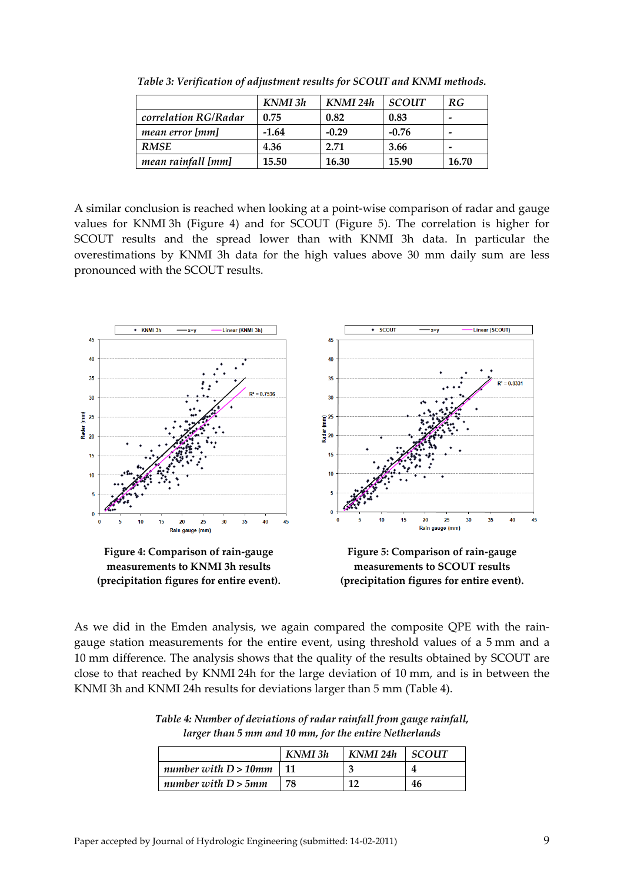<span id="page-8-0"></span>

|                      | KNMI 3h | KNMI 24h | <b>SCOUT</b> | RG                       |
|----------------------|---------|----------|--------------|--------------------------|
| correlation RG/Radar | 0.75    | 0.82     | 0.83         | $\overline{\phantom{0}}$ |
| mean error [mm]      | $-1.64$ | $-0.29$  | $-0.76$      | $\overline{\phantom{0}}$ |
| <b>RMSE</b>          | 4.36    | 2.71     | 3.66         | -                        |
| mean rainfall [mm]   | 15.50   | 16.30    | 15.90        | 16.70                    |

*Table 3: Verification of adjustment results for SCOUT and KNMI methods.*

A similar conclusion is reached when looking at a point-wise comparison of radar and gauge values for KNMI 3h [\(Figure 4\)](#page-8-1) and for SCOUT [\(Figure 5\)](#page-8-2). The correlation is higher for SCOUT results and the spread lower than with KNMI 3h data. In particular the overestimations by KNMI 3h data for the high values above 30 mm daily sum are less pronounced with the SCOUT results.



<span id="page-8-1"></span>**measurements to KNMI 3h results (precipitation figures for entire event).**

<span id="page-8-2"></span>**Figure 5: Comparison of rain-gauge measurements to SCOUT results (precipitation figures for entire event).**

As we did in the Emden analysis, we again compared the composite QPE with the raingauge station measurements for the entire event, using threshold values of a 5 mm and a 10 mm difference. The analysis shows that the quality of the results obtained by SCOUT are close to that reached by KNMI 24h for the large deviation of 10 mm, and is in between the KNMI 3h and KNMI 24h results for deviations larger than 5 mm [\(Table](#page-8-3) 4).

|                              | KNMI 3h | KNMI 24h | I SCOUT |
|------------------------------|---------|----------|---------|
| number with $D > 10$ mm   11 |         |          |         |
| number with $D > 5$ mm       | 78      | 10       | 46      |

<span id="page-8-3"></span>*Table 4: Number of deviations of radar rainfall from gauge rainfall, larger than 5 mm and 10 mm, for the entire Netherlands*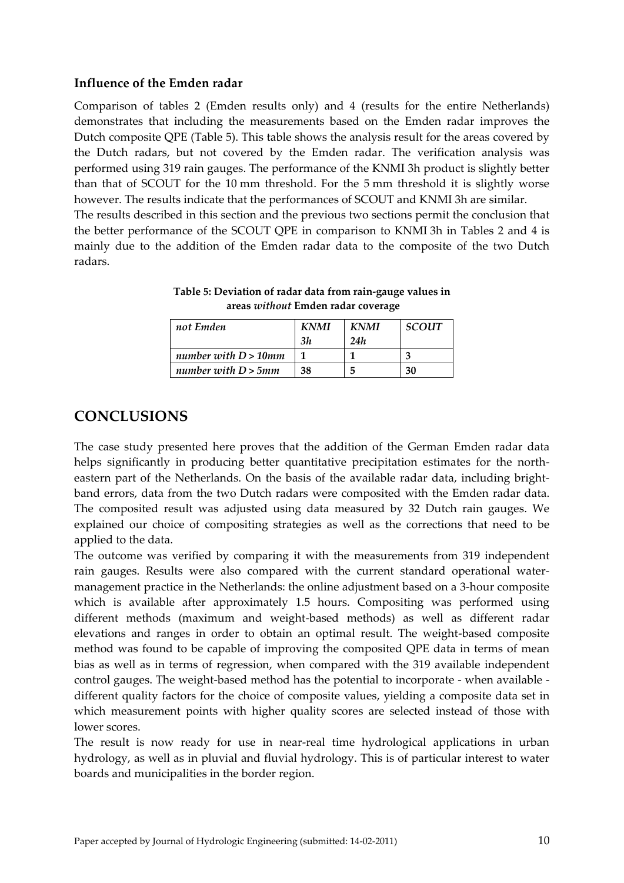#### **Influence of the Emden radar**

Comparison of tables 2 (Emden results only) and 4 (results for the entire Netherlands) demonstrates that including the measurements based on the Emden radar improves the Dutch composite QPE [\(Table 5\)](#page-9-0). This table shows the analysis result for the areas covered by the Dutch radars, but not covered by the Emden radar. The verification analysis was performed using 319 rain gauges. The performance of the KNMI 3h product is slightly better than that of SCOUT for the 10 mm threshold. For the 5 mm threshold it is slightly worse however. The results indicate that the performances of SCOUT and KNMI 3h are similar. The results described in this section and the previous two sections permit the conclusion that the better performance of the SCOUT QPE in comparison to KNMI 3h in Tables 2 and 4 is mainly due to the addition of the Emden radar data to the composite of the two Dutch radars.

| not Emden               | KNMI | <b>KNMI</b> | <b>SCOUT</b> |
|-------------------------|------|-------------|--------------|
|                         | 3h   | 24h         |              |
| number with $D > 10$ mm |      |             |              |
| number with $D > 5$ mm  | 38   | 5           | 30           |

<span id="page-9-0"></span>**Table 5: Deviation of radar data from rain-gauge values in areas** *without* **Emden radar coverage**

# **CONCLUSIONS**

The case study presented here proves that the addition of the German Emden radar data helps significantly in producing better quantitative precipitation estimates for the northeastern part of the Netherlands. On the basis of the available radar data, including brightband errors, data from the two Dutch radars were composited with the Emden radar data. The composited result was adjusted using data measured by 32 Dutch rain gauges. We explained our choice of compositing strategies as well as the corrections that need to be applied to the data.

The outcome was verified by comparing it with the measurements from 319 independent rain gauges. Results were also compared with the current standard operational watermanagement practice in the Netherlands: the online adjustment based on a 3-hour composite which is available after approximately 1.5 hours. Compositing was performed using different methods (maximum and weight-based methods) as well as different radar elevations and ranges in order to obtain an optimal result. The weight-based composite method was found to be capable of improving the composited QPE data in terms of mean bias as well as in terms of regression, when compared with the 319 available independent control gauges. The weight-based method has the potential to incorporate - when available different quality factors for the choice of composite values, yielding a composite data set in which measurement points with higher quality scores are selected instead of those with lower scores.

The result is now ready for use in near-real time hydrological applications in urban hydrology, as well as in pluvial and fluvial hydrology. This is of particular interest to water boards and municipalities in the border region.